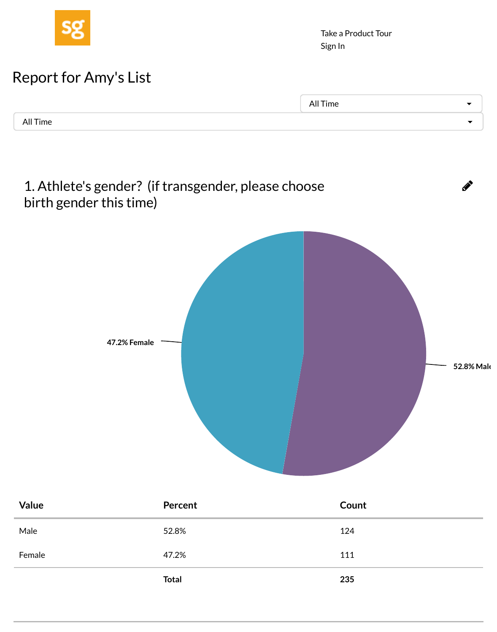## 1. Athlete's gender? (if transgender, please choose birth gender this time)



| Value  | Percent      | Count |
|--------|--------------|-------|
| Male   | 52.8%        | 124   |
| Female | 47.2%        | 111   |
|        | <b>Total</b> | 235   |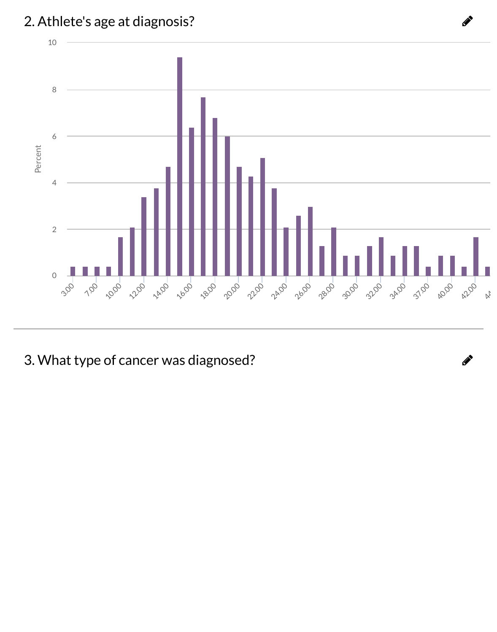

3. What type of cancer was diagnosed?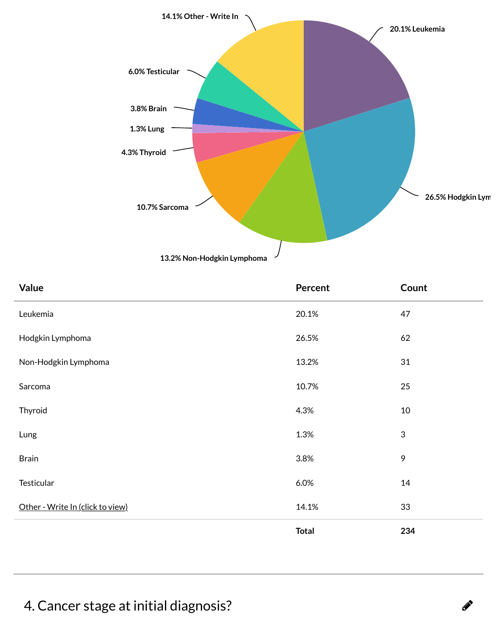

| Value                            | <b>Percent</b> | Coun           |
|----------------------------------|----------------|----------------|
| Leukemia                         | 20.1%          | 47             |
| Hodgkin Lymphoma                 | 26.5%          | 62             |
| Non-Hodgkin Lymphoma             | 13.2%          | 31             |
| Sarcoma                          | 10.7%          | 25             |
| Thyroid                          | 4.3%           | 10             |
| Lung                             | 1.3%           | $\mathfrak{S}$ |
| <b>Brain</b>                     | 3.8%           | 9              |
| Testicular                       | 6.0%           | 14             |
| Other - Write In (click to view) | 14.1%          | 33             |
|                                  | <b>Total</b>   | 234            |

## 4. Cancer stage at initial diagnosis?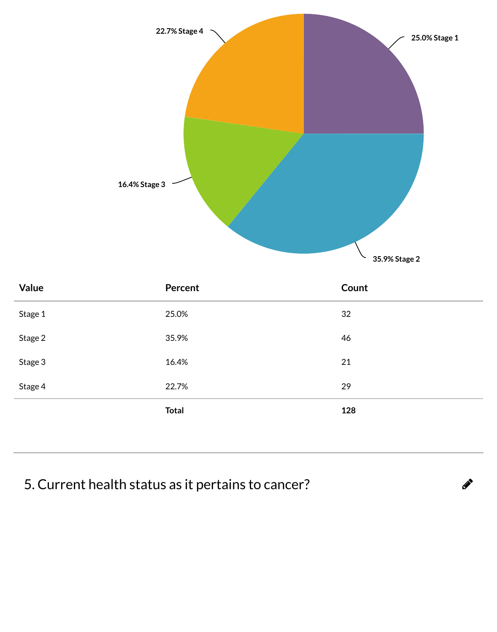

| Value   | Percent      | Count |
|---------|--------------|-------|
| Stage 1 | 25.0%        | 32    |
| Stage 2 | 35.9%        | 46    |
| Stage 3 | 16.4%        | 21    |
| Stage 4 | 22.7%        | 29    |
|         | <b>Total</b> | 128   |
|         |              |       |

## 5. Current health status as it pertains to cancer?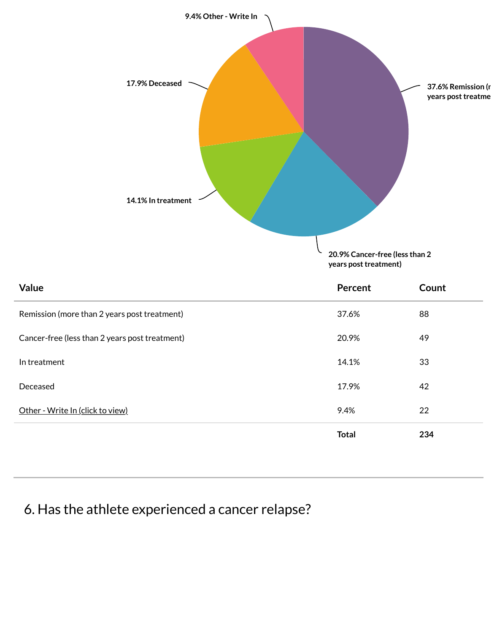

| <b>Value</b>                                   | Percent      |  |
|------------------------------------------------|--------------|--|
| Remission (more than 2 years post treatment)   | 37.6%        |  |
| Cancer-free (less than 2 years post treatment) | 20.9%        |  |
| In treatment                                   | 14.1%        |  |
| Deceased                                       | 17.9%        |  |
| Other - Write In (click to view)               | 9.4%         |  |
|                                                | <b>Total</b> |  |
|                                                |              |  |

## 6. Has the athlete experienced a cancer relapse?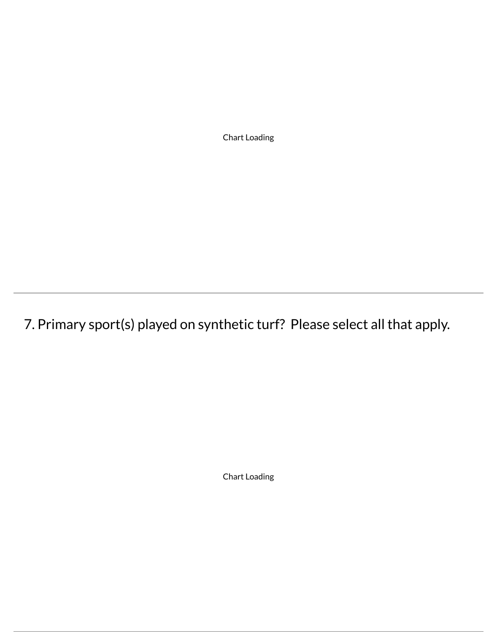Chart Loading

7. Primary sport(s) played on synthetic turf? Please select all that apply.

Chart Loading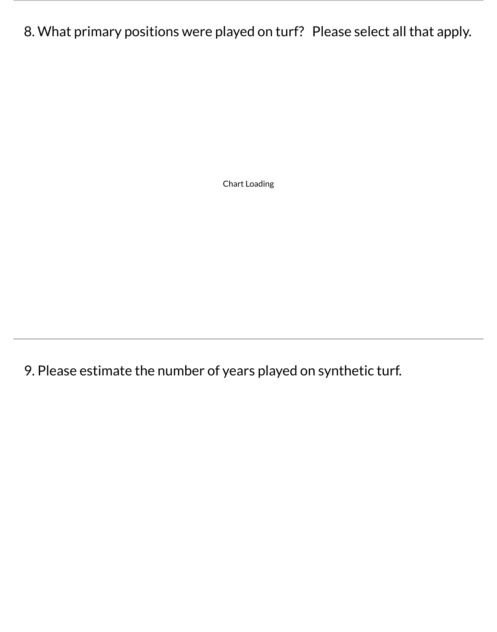8. What primary positions were played on turf? Please select all that apply.

Chart Loading

9. Please estimate the number of years played on synthetic turf.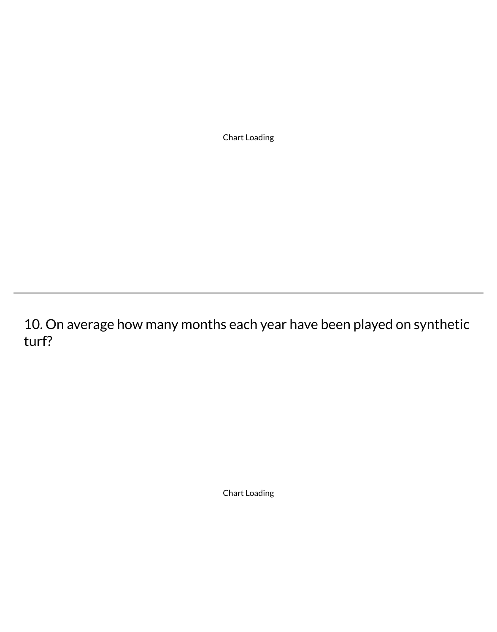Chart Loading

10. On average how many months each year have been played on synthetic turf?

Chart Loading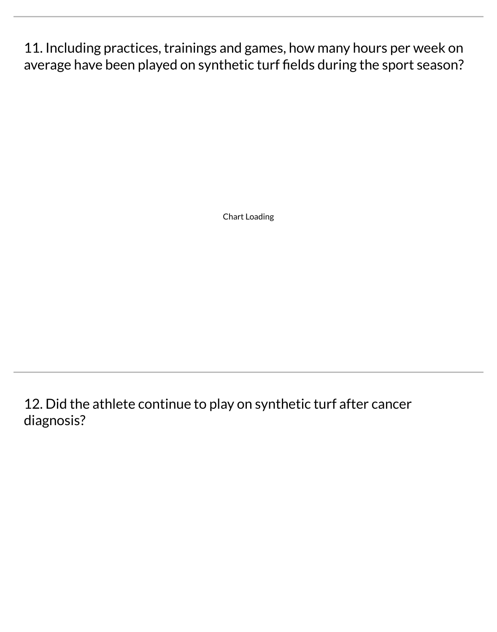11. Including practices, trainings and games, how many hours per week on average have been played on synthetic turf fields during the sport season?

Chart Loading

12. Did the athlete continue to play on synthetic turf after cancer diagnosis?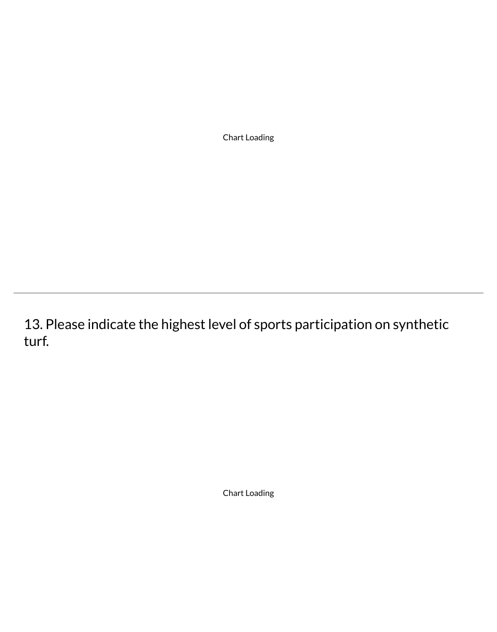Chart Loading

13. Please indicate the highest level of sports participation on synthetic turf.

Chart Loading